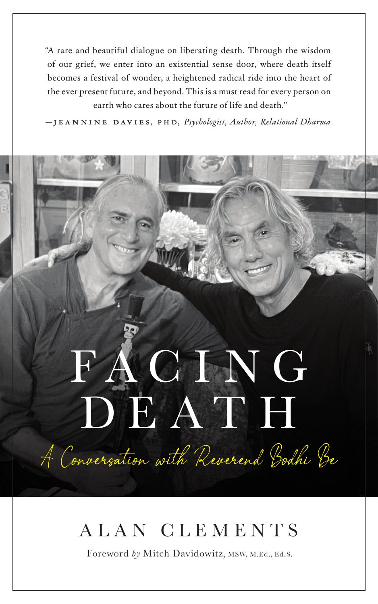"A rare and beautiful dialogue on liberating death. Through the wisdom of our grief, we enter into an existential sense door, where death itself becomes a festival of wonder, a heightened radical ride into the heart of the ever present future, and beyond. This is a must read for every person on earth who cares about the future of life and death."

— **jeannine davies**, p h d, *Psychologist, Author, Relational Dharma*

## F A C I N G DEATH A Conversation with Reverend Bodhi Be

## ALAN CLEMENTS

Foreword *by* Mitch Davidowitz, msw, <sup>m</sup>.ed., ed.s.